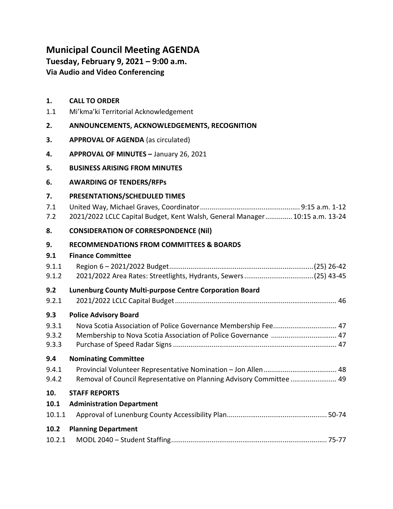# Municipal Council Meeting AGENDA

Tuesday, February 9, 2021 – 9:00 a.m. Via Audio and Video Conferencing

## 1. CALL TO ORDER

1.1 Mi'kma'ki Territorial Acknowledgement

## 2. ANNOUNCEMENTS, ACKNOWLEDGEMENTS, RECOGNITION

- 3. APPROVAL OF AGENDA (as circulated)
- 4. APPROVAL OF MINUTES January 26, 2021

## 5. BUSINESS ARISING FROM MINUTES

## 6. AWARDING OF TENDERS/RFPs

## 7. PRESENTATIONS/SCHEDULED TIMES

| 7.1 |  |  |  |  |
|-----|--|--|--|--|
|-----|--|--|--|--|

| 7.2 | 2021/2022 LCLC Capital Budget, Kent Walsh, General Manager 10:15 a.m. 13-24 |  |  |  |  |
|-----|-----------------------------------------------------------------------------|--|--|--|--|
|-----|-----------------------------------------------------------------------------|--|--|--|--|

#### 8. CONSIDERATION OF CORRESPONDENCE (Nil)

## 9. RECOMMENDATIONS FROM COMMITTEES & BOARDS

#### 9.1 Finance Committee

| 9.1.1  |                                                                     |
|--------|---------------------------------------------------------------------|
| 9.1.2  |                                                                     |
| 9.2    | <b>Lunenburg County Multi-purpose Centre Corporation Board</b>      |
| 9.2.1  |                                                                     |
| 9.3    | <b>Police Advisory Board</b>                                        |
| 9.3.1  |                                                                     |
| 9.3.2  | Membership to Nova Scotia Association of Police Governance  47      |
| 9.3.3  |                                                                     |
| 9.4    | <b>Nominating Committee</b>                                         |
| 9.4.1  |                                                                     |
| 9.4.2  | Removal of Council Representative on Planning Advisory Committee 49 |
| 10.    | <b>STAFF REPORTS</b>                                                |
| 10.1   | <b>Administration Department</b>                                    |
| 10.1.1 |                                                                     |

## 10.2 Planning Department